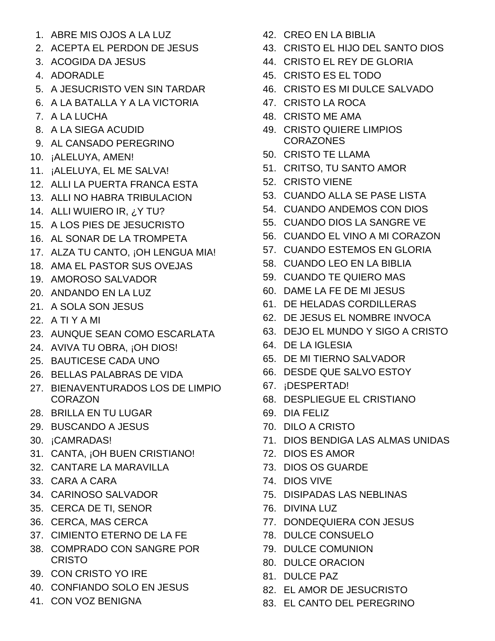- 1. ABRE MIS OJOS A LA LUZ
- 2. ACEPTA EL PERDON DE JESUS
- 3. ACOGIDA DA JESUS
- 4. ADORADLE
- 5. A JESUCRISTO VEN SIN TARDAR
- 6. A LA BATALLA Y A LA VICTORIA
- 7. A LA LUCHA
- 8. A LA SIEGA ACUDID
- 9. AL CANSADO PEREGRINO
- 10. ¡ALELUYA, AMEN!
- 11. ¡ALELUYA, EL ME SALVA!
- 12. ALLI LA PUERTA FRANCA ESTA
- 13. ALLI NO HABRA TRIBULACION
- 14. ALLI WUIERO IR, ¿Y TU?
- 15. A LOS PIES DE JESUCRISTO
- 16. AL SONAR DE LA TROMPETA
- 17. ALZA TU CANTO, ¡OH LENGUA MIA!
- 18. AMA EL PASTOR SUS OVEJAS
- 19. AMOROSO SALVADOR
- 20. ANDANDO EN LA LUZ
- 21. A SOLA SON JESUS
- 22. A TI Y A MI
- 23. AUNQUE SEAN COMO ESCARLATA
- 24. AVIVA TU OBRA, ¡OH DIOS!
- 25. BAUTICESE CADA UNO
- 26. BELLAS PALABRAS DE VIDA
- 27. BIENAVENTURADOS LOS DE LIMPIO CORAZON
- 28. BRILLA EN TU LUGAR
- 29. BUSCANDO A JESUS
- 30. ¡CAMRADAS!
- 31. CANTA, ¡OH BUEN CRISTIANO!
- 32. CANTARE LA MARAVILLA
- 33. CARA A CARA
- 34. CARINOSO SALVADOR
- 35. CERCA DE TI, SENOR
- 36. CERCA, MAS CERCA
- 37. CIMIENTO ETERNO DE LA FE
- 38. COMPRADO CON SANGRE POR CRISTO
- 39. CON CRISTO YO IRE
- 40. CONFIANDO SOLO EN JESUS
- 41. CON VOZ BENIGNA
- 42. CREO EN LA BIBLIA
- 43. CRISTO EL HIJO DEL SANTO DIOS
- 44. CRISTO EL REY DE GLORIA
- 45. CRISTO ES EL TODO
- 46. CRISTO ES MI DULCE SALVADO
- 47. CRISTO LA ROCA
- 48. CRISTO ME AMA
- 49. CRISTO QUIERE LIMPIOS **CORAZONES**
- 50. CRISTO TE LLAMA
- 51. CRITSO, TU SANTO AMOR
- 52. CRISTO VIENE
- 53. CUANDO ALLA SE PASE LISTA
- 54. CUANDO ANDEMOS CON DIOS
- 55. CUANDO DIOS LA SANGRE VE
- 56. CUANDO EL VINO A MI CORAZON
- 57. CUANDO ESTEMOS EN GLORIA
- 58. CUANDO LEO EN LA BIBLIA
- 59. CUANDO TE QUIERO MAS
- 60. DAME LA FE DE MI JESUS
- 61. DE HELADAS CORDILLERAS
- 62. DE JESUS EL NOMBRE INVOCA
- 63. DEJO EL MUNDO Y SIGO A CRISTO
- 64. DE LA IGLESIA
- 65. DE MI TIERNO SALVADOR
- 66. DESDE QUE SALVO ESTOY
- 67. ¡DESPERTAD!
- 68. DESPLIEGUE EL CRISTIANO
- 69. DIA FELIZ
- 70. DILO A CRISTO
- 71. DIOS BENDIGA LAS ALMAS UNIDAS
- 72. DIOS ES AMOR
- 73. DIOS OS GUARDE
- 74. DIOS VIVE
- 75. DISIPADAS LAS NEBLINAS
- 76. DIVINA LUZ
- 77. DONDEQUIERA CON JESUS
- 78. DULCE CONSUELO
- 79. DULCE COMUNION
- 80. DULCE ORACION
- 81. DULCE PAZ
- 82. EL AMOR DE JESUCRISTO
- 83. EL CANTO DEL PEREGRINO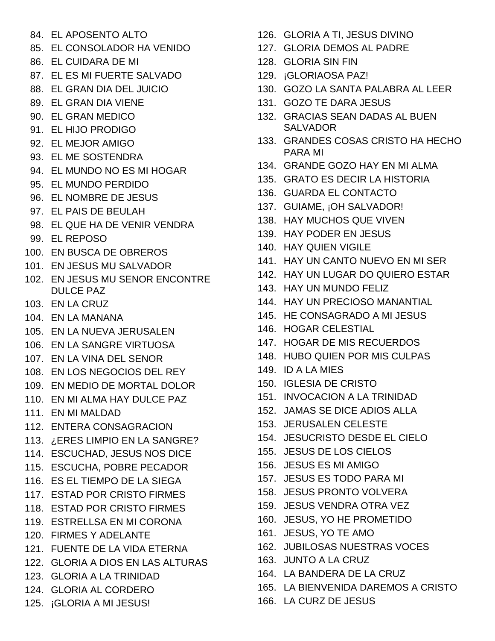- 84. EL APOSENTO ALTO
- 85. EL CONSOLADOR HA VENIDO
- 86. EL CUIDARA DE MI
- 87. EL ES MI FUERTE SALVADO
- 88. EL GRAN DIA DEL JUICIO
- 89. EL GRAN DIA VIENE
- 90. EL GRAN MEDICO
- 91. EL HIJO PRODIGO
- 92. EL MEJOR AMIGO
- 93. EL ME SOSTENDRA
- 94. EL MUNDO NO ES MI HOGAR
- 95. EL MUNDO PERDIDO
- 96. EL NOMBRE DE JESUS
- 97. EL PAIS DE BEULAH
- 98. EL QUE HA DE VENIR VENDRA
- 99. EL REPOSO
- 100. EN BUSCA DE OBREROS
- 101. EN JESUS MU SALVADOR
- 102. EN JESUS MU SENOR ENCONTRE DULCE PAZ
- 103. EN LA CRUZ
- 104. EN LA MANANA
- 105. EN LA NUEVA JERUSALEN
- 106. EN LA SANGRE VIRTUOSA
- 107. EN LA VINA DEL SENOR
- 108. EN LOS NEGOCIOS DEL REY
- 109. EN MEDIO DE MORTAL DOLOR
- 110. EN MI ALMA HAY DULCE PAZ
- 111. EN MI MALDAD
- 112. ENTERA CONSAGRACION
- 113. ¿ERES LIMPIO EN LA SANGRE?
- 114. ESCUCHAD, JESUS NOS DICE
- 115. ESCUCHA, POBRE PECADOR
- 116. ES EL TIEMPO DE LA SIEGA
- 117. ESTAD POR CRISTO FIRMES
- 118. ESTAD POR CRISTO FIRMES
- 119. ESTRELLSA EN MI CORONA
- 120. FIRMES Y ADELANTE
- 121. FUENTE DE LA VIDA ETERNA
- 122. GLORIA A DIOS EN LAS ALTURAS
- 123. GLORIA A LA TRINIDAD
- 124. GLORIA AL CORDERO
- 125. ¡GLORIA A MI JESUS!
- 126. GLORIA A TI, JESUS DIVINO
- 127. GLORIA DEMOS AL PADRE
- 128. GLORIA SIN FIN
- 129. ¡GLORIAOSA PAZ!
- 130. GOZO LA SANTA PALABRA AL LEER
- 131. GOZO TE DARA JESUS
- 132. GRACIAS SEAN DADAS AL BUEN SALVADOR
- 133. GRANDES COSAS CRISTO HA HECHO PARA MI
- 134. GRANDE GOZO HAY EN MI ALMA
- 135. GRATO ES DECIR LA HISTORIA
- 136. GUARDA EL CONTACTO
- 137. GUIAME, ¡OH SALVADOR!
- 138. HAY MUCHOS QUE VIVEN
- 139. HAY PODER EN JESUS
- 140. HAY QUIEN VIGILE
- 141. HAY UN CANTO NUEVO EN MI SER
- 142. HAY UN LUGAR DO QUIERO ESTAR
- 143. HAY UN MUNDO FELIZ
- 144. HAY UN PRECIOSO MANANTIAL
- 145. HE CONSAGRADO A MI JESUS
- 146. HOGAR CELESTIAL
- 147. HOGAR DE MIS RECUERDOS
- 148. HUBO QUIEN POR MIS CULPAS
- 149. ID A LA MIES
- 150. IGLESIA DE CRISTO
- 151. INVOCACION A LA TRINIDAD
- 152. JAMAS SE DICE ADIOS ALLA
- 153. JERUSALEN CELESTE
- 154. JESUCRISTO DESDE EL CIELO
- 155. JESUS DE LOS CIELOS
- 156. JESUS ES MI AMIGO
- 157. JESUS ES TODO PARA MI
- 158. JESUS PRONTO VOLVERA
- 159. JESUS VENDRA OTRA VEZ
- 160. JESUS, YO HE PROMETIDO
- 161. JESUS, YO TE AMO
- 162. JUBILOSAS NUESTRAS VOCES
- 163. JUNTO A LA CRUZ
- 164. LA BANDERA DE LA CRUZ
- 165. LA BIENVENIDA DAREMOS A CRISTO
- 166. LA CURZ DE JESUS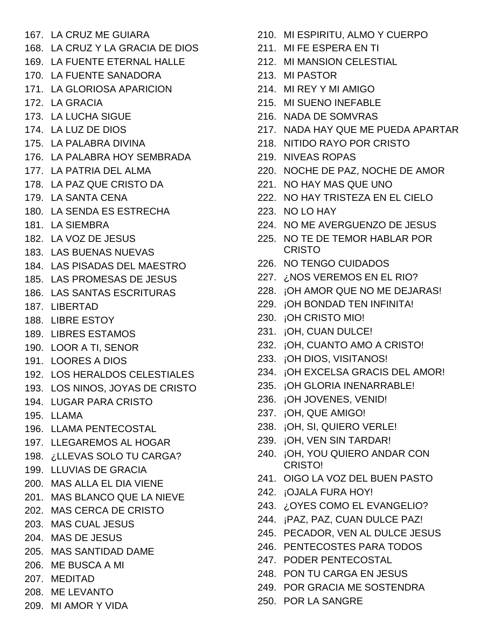167. LA CRUZ ME GUIARA 168. LA CRUZ Y LA GRACIA DE DIOS 169. LA FUENTE ETERNAL HALLE 170. LA FUENTE SANADORA 171. LA GLORIOSA APARICION 172. LA GRACIA 173. LA LUCHA SIGUE 174. LA LUZ DE DIOS 175. LA PALABRA DIVINA 176. LA PALABRA HOY SEMBRADA 177. LA PATRIA DEL ALMA 178. LA PAZ QUE CRISTO DA 179. LA SANTA CENA 180. LA SENDA ES ESTRECHA 181. LA SIEMBRA 182. LA VOZ DE JESUS 183. LAS BUENAS NUEVAS 184. LAS PISADAS DEL MAESTRO 185. LAS PROMESAS DE JESUS 186. LAS SANTAS ESCRITURAS 187. LIBERTAD 188. LIBRE ESTOY 189. LIBRES ESTAMOS 190. LOOR A TI, SENOR 191. LOORES A DIOS 192. LOS HERALDOS CELESTIALES 193. LOS NINOS, JOYAS DE CRISTO 194. LUGAR PARA CRISTO 195. LLAMA 196. LLAMA PENTECOSTAL 197. LLEGAREMOS AL HOGAR 198. ¿LLEVAS SOLO TU CARGA? 199. LLUVIAS DE GRACIA 200. MAS ALLA EL DIA VIENE 201. MAS BLANCO QUE LA NIEVE 202. MAS CERCA DE CRISTO 203. MAS CUAL JESUS 204. MAS DE JESUS 205. MAS SANTIDAD DAME 206. ME BUSCA A MI 207. MEDITAD 208. ME LEVANTO 209. MI AMOR Y VIDA

- 210. MI ESPIRITU, ALMO Y CUERPO
- 211. MI FE ESPERA EN TI
- 212. MI MANSION CELESTIAL
- 213. MI PASTOR
- 214. MI REY Y MI AMIGO
- 215. MI SUENO INEFABLE
- 216. NADA DE SOMVRAS
- 217. NADA HAY QUE ME PUEDA APARTAR
- 218. NITIDO RAYO POR CRISTO
- 219. NIVEAS ROPAS
- 220. NOCHE DE PAZ, NOCHE DE AMOR
- 221. NO HAY MAS QUE UNO
- 222. NO HAY TRISTEZA EN EL CIELO
- 223. NO LO HAY
- 224. NO ME AVERGUENZO DE JESUS
- 225. NO TE DE TEMOR HABLAR POR CRISTO
- 226. NO TENGO CUIDADOS
- 227. ¿NOS VEREMOS EN EL RIO?
- 228. ¡OH AMOR QUE NO ME DEJARAS!
- 229. ¡OH BONDAD TEN INFINITA!
- 230. ¡OH CRISTO MIO!
- 231. ¡OH, CUAN DULCE!
- 232. ¡OH, CUANTO AMO A CRISTO!
- 233. ¡OH DIOS, VISITANOS!
- 234. ¡OH EXCELSA GRACIS DEL AMOR!
- 235. ¡OH GLORIA INENARRABLE!
- 236. ¡OH JOVENES, VENID!
- 237. ¡OH, QUE AMIGO!
- 238. ¡OH, SI, QUIERO VERLE!
- 239. ¡OH, VEN SIN TARDAR!
- 240. ¡OH, YOU QUIERO ANDAR CON CRISTO!
- 241. OIGO LA VOZ DEL BUEN PASTO
- 242. ¡OJALA FURA HOY!
- 243. ¿OYES COMO EL EVANGELIO?
- 244. ¡PAZ, PAZ, CUAN DULCE PAZ!
- 245. PECADOR, VEN AL DULCE JESUS
- 246. PENTECOSTES PARA TODOS
- 247. PODER PENTECOSTAL
- 248. PON TU CARGA EN JESUS
- 249. POR GRACIA ME SOSTENDRA
- 250. POR LA SANGRE